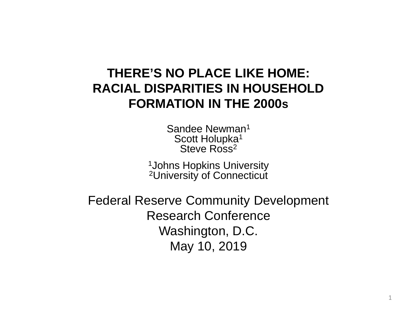#### **THERE'S NO PLACE LIKE HOME: FORMATION IN THE 2000s RACIAL DISPARITIES IN HOUSEHOLD**

Sandee Newman<sup>1</sup> Scott Holupka<sup>1</sup> Steve Ross<sup>2</sup>

<sup>1</sup>Johns Hopkins University <sup>2</sup>University of Connecticut

 Federal Reserve Community Development Research Conference Washington, D.C. May 10, 2019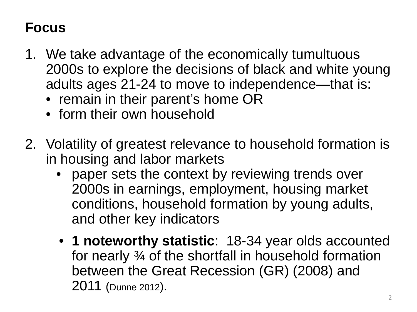### **Focus**

- 1. We take advantage of the economically tumultuous 2000s to explore the decisions of black and white young adults ages 21-24 to move to independence—that is:
	- remain in their parent's home OR
	- form their own household
- 2. Volatility of greatest relevance to household formation is in housing and labor markets
	- paper sets the context by reviewing trends over 2000s in earnings, employment, housing market and other key indicators conditions, household formation by young adults,
	- • **1 noteworthy statistic**: 18-34 year olds accounted for nearly ¾ of the shortfall in household formation between the Great Recession (GR) (2008) and 2011 (Dunne 2012).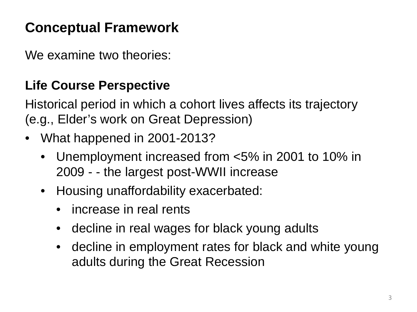# **Conceptual Framework**

We examine two theories:

#### **Life Course Perspective**

 Historical period in which a cohort lives affects its trajectory (e.g., Elder's work on Great Depression)

- What happened in 2001-2013?
	- Unemployment increased from <5% in 2001 to 10% in 2009 - - the largest post-WWII increase
	- Housing unaffordability exacerbated:
		- increase in real rents
		- decline in real wages for black young adults
		- decline in employment rates for black and white young adults during the Great Recession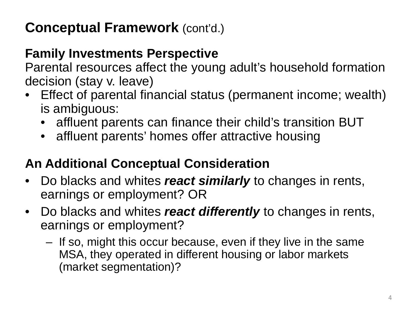## **Conceptual Framework** (cont'd.)

#### **Family Investments Perspective**

 decision (stay v. leave) Parental resources affect the young adult's household formation

- • Effect of parental financial status (permanent income; wealth) is ambiguous:
	- affluent parents can finance their child's transition BUT
	- affluent parents' homes offer attractive housing

### **An Additional Conceptual Consideration**

- Do blacks and whites *react similarly* to changes in rents, earnings or employment? OR
- Do blacks and whites *react differently* to changes in rents, earnings or employment?
	- $-$  If so, might this occur because, even if they live in the same MSA, they operated in different housing or labor markets (market segmentation)?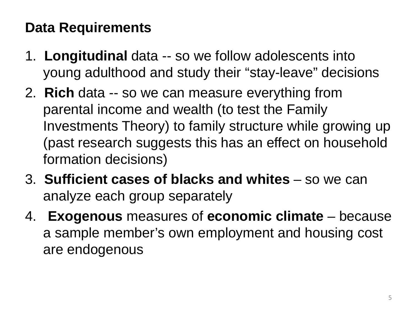## **Data Requirements**

- 1. Longitudinal data -- so we follow adolescents into young adulthood and study their "stay-leave" decisions
- 2. **Rich** data -- so we can measure everything from parental income and wealth (to test the Family Investments Theory) to family structure while growing up (past research suggests this has an effect on household formation decisions)
- 3. **Sufficient cases of blacks and whites**  so we can analyze each group separately
- analyze each group separately 4. **Exogenous** measures of **economic climate**  because a sample member's own employment and housing cost are endogenous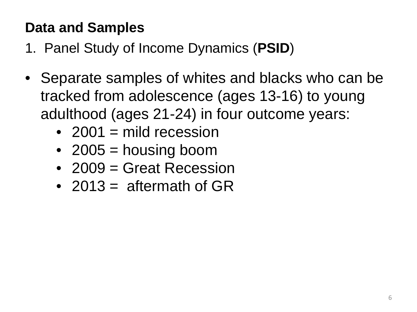## **Data and Samples**

1. Panel Study of Income Dynamics (**PSID**)

- adulthood (ages 21-24) in four outcome years: • Separate samples of whites and blacks who can be tracked from adolescence (ages 13-16) to young
	- 2001  $=$  mild recession
	- 2005  $=$  housing boom
	- 2009 = Great Recession
	- 2013 = aftermath of  $GR$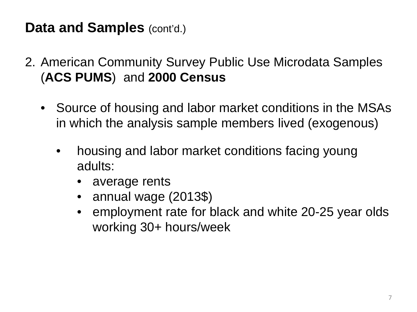### **Data and Samples (cont'd.)**

- 2. American Community Survey Public Use Microdata Samples (**ACS PUMS**) and **2000 Census** 
	- Source of housing and labor market conditions in the MSAs in which the analysis sample members lived (exogenous)
		- housing and labor market conditions facing young adults:
			- average rents
			- annual wage (2013\$)
			- employment rate for black and white 20-25 year olds working 30+ hours/week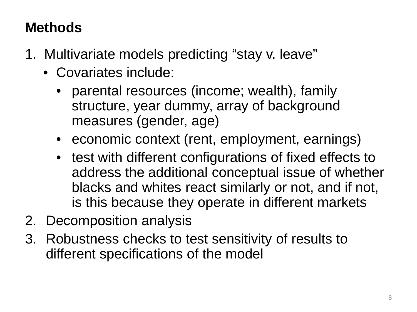# **Methods**

- 1. Multivariate models predicting "stay v. leave"
	- • Covariates include:
		- structure, year dummy, array of background parental resources (income; wealth), family measures (gender, age)
		- economic context (rent, employment, earnings)
		- test with different configurations of fixed effects to address the additional conceptual issue of whether blacks and whites react similarly or not, and if not, is this because they operate in different markets
- 2. Decomposition analysis
- 3. Robustness checks to test sensitivity of results to different specifications of the model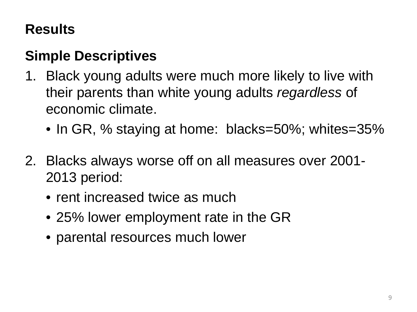## **Results**

## **Simple Descriptives**

- 1. Black young adults were much more likely to live with their parents than white young adults *regardless* of economic climate.
	- In GR, % staying at home: blacks=50%; whites=35%
- 2. Blacks always worse off on all measures over 2001 2013 period:
	- rent increased twice as much
	- 25% lower employment rate in the GR
	- parental resources much lower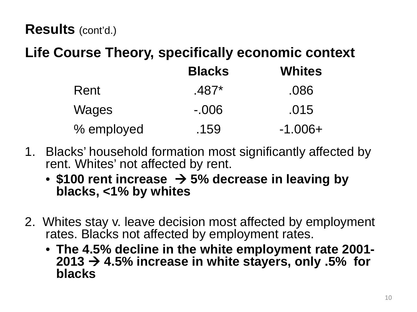#### **Results** (cont'd.)

#### **Life Course Theory, specifically economic context**

|            | <b>Blacks</b> | <b>Whites</b> |
|------------|---------------|---------------|
| Rent       | $.487*$       | .086          |
| Wages      | $-0.06$       | .015          |
| % employed | .159          | $-1.006+$     |

- 1. Blacks' household formation most significantly affected by rent. Whites' not affected by rent.
	- • **\$100 rent increase 5% decrease in leaving by blacks, <1% by whites**
- 2. Whites stay v. leave decision most affected by employment rates. Blacks not affected by employment rates.
	- The 4.5% decline in the white employment rate 2001- $2013 \rightarrow 4.5\%$  increase in white stayers, only .5% for **blacks**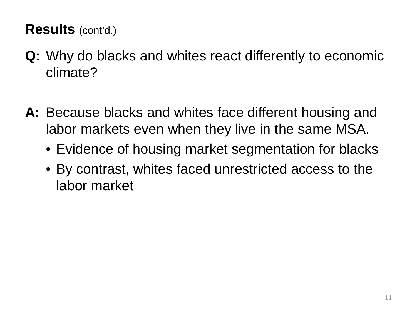### **Results** (cont'd.)

- **Q:** Why do blacks and whites react differently to economic climate?
- **A:** Because blacks and whites face different housing and labor markets even when they live in the same MSA.
	- Evidence of housing market segmentation for blacks
	- By contrast, whites faced unrestricted access to the labor market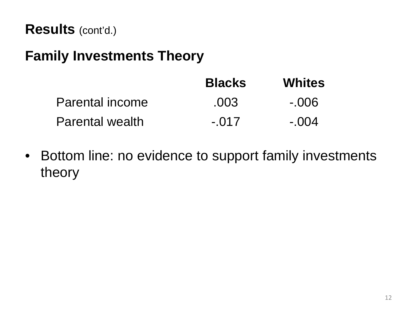### **Family Investments Theory**

|                        | <b>Blacks</b> | <b>Whites</b> |
|------------------------|---------------|---------------|
| Parental income        | .003          | $-006$        |
| <b>Parental wealth</b> | $-017$        | $-.004$       |

• Bottom line: no evidence to support family investments theory